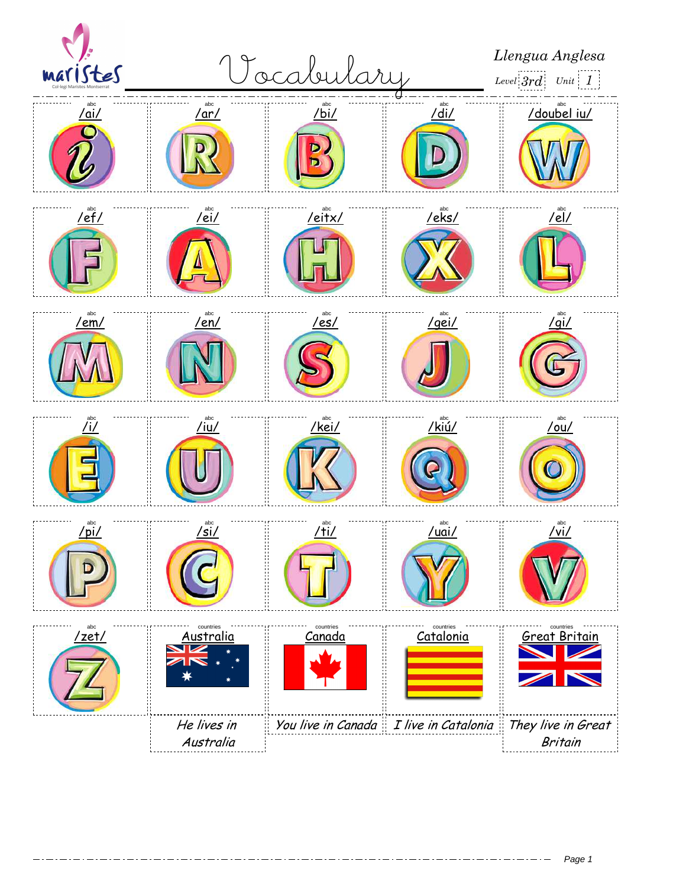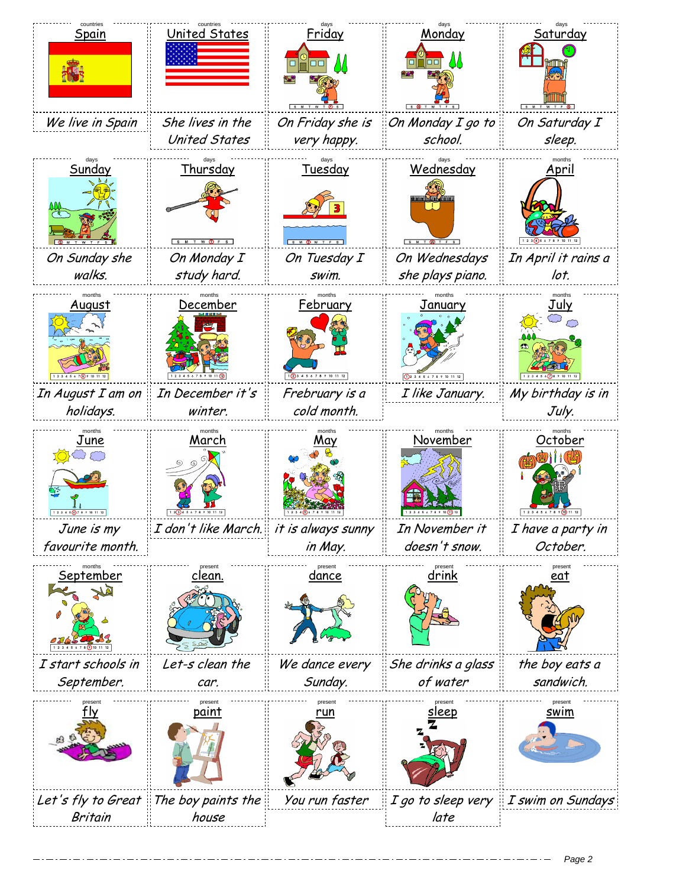